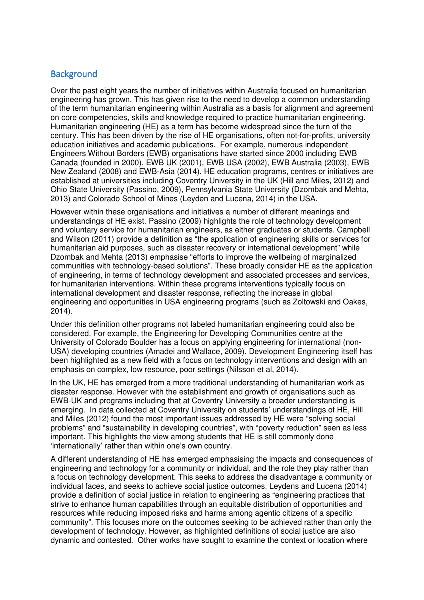# **Background**

Over the past eight years the number of initiatives within Australia focused on humanitarian engineering has grown. This has given rise to the need to develop a common understanding of the term humanitarian engineering within Australia as a basis for alignment and agreement on core competencies, skills and knowledge required to practice humanitarian engineering. Humanitarian engineering (HE) as a term has become widespread since the turn of the century. This has been driven by the rise of HE organisations, often not-for-profits, university education initiatives and academic publications. For example, numerous independent Engineers Without Borders (EWB) organisations have started since 2000 including EWB Canada (founded in 2000), EWB UK (2001), EWB USA (2002), EWB Australia (2003), EWB New Zealand (2008) and EWB-Asia (2014). HE education programs, centres or initiatives are established at universities including Coventry University in the UK (Hill and Miles, 2012) and Ohio State University (Passino, 2009), Pennsylvania State University (Dzombak and Mehta, 2013) and Colorado School of Mines (Leyden and Lucena, 2014) in the USA.

However within these organisations and initiatives a number of different meanings and understandings of HE exist. Passino (2009) highlights the role of technology development and voluntary service for humanitarian engineers, as either graduates or students. Campbell and Wilson (2011) provide a definition as "the application of engineering skills or services for humanitarian aid purposes, such as disaster recovery or international development" while Dzombak and Mehta (2013) emphasise "efforts to improve the wellbeing of marginalized communities with technology-based solutions". These broadly consider HE as the application of engineering, in terms of technology development and associated processes and services, for humanitarian interventions. Within these programs interventions typically focus on international development and disaster response, reflecting the increase in global engineering and opportunities in USA engineering programs (such as Zoltowski and Oakes, 2014).

Under this definition other programs not labeled humanitarian engineering could also be considered. For example, the Engineering for Developing Communities centre at the University of Colorado Boulder has a focus on applying engineering for international (non-USA) developing countries (Amadei and Wallace, 2009). Development Engineering itself has been highlighted as a new field with a focus on technology interventions and design with an emphasis on complex, low resource, poor settings (Nilsson et al, 2014).

In the UK, HE has emerged from a more traditional understanding of humanitarian work as disaster response. However with the establishment and growth of organisations such as EWB-UK and programs including that at Coventry University a broader understanding is emerging. In data collected at Coventry University on students' understandings of HE, Hill and Miles (2012) found the most important issues addressed by HE were "solving social problems" and "sustainability in developing countries", with "poverty reduction" seen as less important. This highlights the view among students that HE is still commonly done 'internationally' rather than within one's own country.

A different understanding of HE has emerged emphasising the impacts and consequences of engineering and technology for a community or individual, and the role they play rather than a focus on technology development. This seeks to address the disadvantage a community or individual faces, and seeks to achieve social justice outcomes. Leydens and Lucena (2014) provide a definition of social justice in relation to engineering as "engineering practices that strive to enhance human capabilities through an equitable distribution of opportunities and resources while reducing imposed risks and harms among agentic citizens of a specific community". This focuses more on the outcomes seeking to be achieved rather than only the development of technology. However, as highlighted definitions of social justice are also dynamic and contested. Other works have sought to examine the context or location where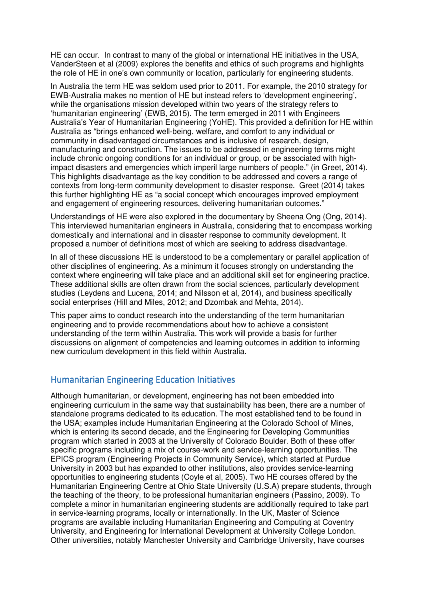HE can occur. In contrast to many of the global or international HE initiatives in the USA, VanderSteen et al (2009) explores the benefits and ethics of such programs and highlights the role of HE in one's own community or location, particularly for engineering students.

In Australia the term HE was seldom used prior to 2011. For example, the 2010 strategy for EWB-Australia makes no mention of HE but instead refers to 'development engineering', while the organisations mission developed within two years of the strategy refers to 'humanitarian engineering' (EWB, 2015). The term emerged in 2011 with Engineers Australia's Year of Humanitarian Engineering (YoHE). This provided a definition for HE within Australia as "brings enhanced well-being, welfare, and comfort to any individual or community in disadvantaged circumstances and is inclusive of research, design, manufacturing and construction. The issues to be addressed in engineering terms might include chronic ongoing conditions for an individual or group, or be associated with highimpact disasters and emergencies which imperil large numbers of people." (in Greet, 2014). This highlights disadvantage as the key condition to be addressed and covers a range of contexts from long-term community development to disaster response. Greet (2014) takes this further highlighting HE as "a social concept which encourages improved employment and engagement of engineering resources, delivering humanitarian outcomes."

Understandings of HE were also explored in the documentary by Sheena Ong (Ong, 2014). This interviewed humanitarian engineers in Australia, considering that to encompass working domestically and international and in disaster response to community development. It proposed a number of definitions most of which are seeking to address disadvantage.

In all of these discussions HE is understood to be a complementary or parallel application of other disciplines of engineering. As a minimum it focuses strongly on understanding the context where engineering will take place and an additional skill set for engineering practice. These additional skills are often drawn from the social sciences, particularly development studies (Leydens and Lucena, 2014; and Nilsson et al, 2014), and business specifically social enterprises (Hill and Miles, 2012; and Dzombak and Mehta, 2014).

This paper aims to conduct research into the understanding of the term humanitarian engineering and to provide recommendations about how to achieve a consistent understanding of the term within Australia. This work will provide a basis for further discussions on alignment of competencies and learning outcomes in addition to informing new curriculum development in this field within Australia.

## Humanitarian Engineering Education Initiatives

Although humanitarian, or development, engineering has not been embedded into engineering curriculum in the same way that sustainability has been, there are a number of standalone programs dedicated to its education. The most established tend to be found in the USA; examples include Humanitarian Engineering at the Colorado School of Mines, which is entering its second decade, and the Engineering for Developing Communities program which started in 2003 at the University of Colorado Boulder. Both of these offer specific programs including a mix of course-work and service-learning opportunities. The EPICS program (Engineering Projects in Community Service), which started at Purdue University in 2003 but has expanded to other institutions, also provides service-learning opportunities to engineering students (Coyle et al, 2005). Two HE courses offered by the Humanitarian Engineering Centre at Ohio State University (U.S.A) prepare students, through the teaching of the theory, to be professional humanitarian engineers (Passino, 2009). To complete a minor in humanitarian engineering students are additionally required to take part in service-learning programs, locally or internationally. In the UK, Master of Science programs are available including Humanitarian Engineering and Computing at Coventry University, and Engineering for International Development at University College London. Other universities, notably Manchester University and Cambridge University, have courses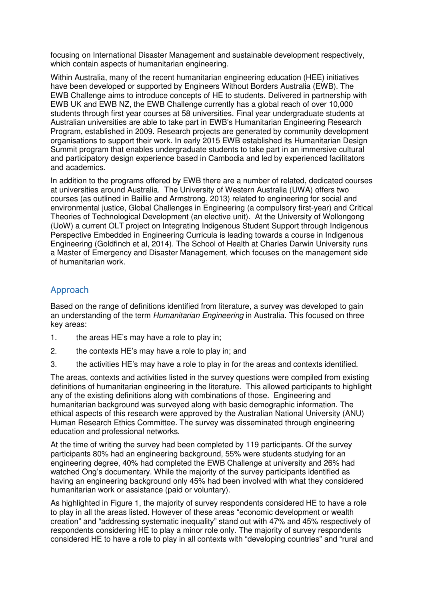focusing on International Disaster Management and sustainable development respectively, which contain aspects of humanitarian engineering.

Within Australia, many of the recent humanitarian engineering education (HEE) initiatives have been developed or supported by Engineers Without Borders Australia (EWB). The EWB Challenge aims to introduce concepts of HE to students. Delivered in partnership with EWB UK and EWB NZ, the EWB Challenge currently has a global reach of over 10,000 students through first year courses at 58 universities. Final year undergraduate students at Australian universities are able to take part in EWB's Humanitarian Engineering Research Program, established in 2009. Research projects are generated by community development organisations to support their work. In early 2015 EWB established its Humanitarian Design Summit program that enables undergraduate students to take part in an immersive cultural and participatory design experience based in Cambodia and led by experienced facilitators and academics.

In addition to the programs offered by EWB there are a number of related, dedicated courses at universities around Australia. The University of Western Australia (UWA) offers two courses (as outlined in Baillie and Armstrong, 2013) related to engineering for social and environmental justice, Global Challenges in Engineering (a compulsory first-year) and Critical Theories of Technological Development (an elective unit). At the University of Wollongong (UoW) a current OLT project on Integrating Indigenous Student Support through Indigenous Perspective Embedded in Engineering Curricula is leading towards a course in Indigenous Engineering (Goldfinch et al, 2014). The School of Health at Charles Darwin University runs a Master of Emergency and Disaster Management, which focuses on the management side of humanitarian work.

# Approach

Based on the range of definitions identified from literature, a survey was developed to gain an understanding of the term Humanitarian Engineering in Australia. This focused on three key areas:

- 1. the areas HE's may have a role to play in;
- 2. the contexts HE's may have a role to play in; and
- 3. the activities HE's may have a role to play in for the areas and contexts identified.

The areas, contexts and activities listed in the survey questions were compiled from existing definitions of humanitarian engineering in the literature. This allowed participants to highlight any of the existing definitions along with combinations of those. Engineering and humanitarian background was surveyed along with basic demographic information. The ethical aspects of this research were approved by the Australian National University (ANU) Human Research Ethics Committee. The survey was disseminated through engineering education and professional networks.

At the time of writing the survey had been completed by 119 participants. Of the survey participants 80% had an engineering background, 55% were students studying for an engineering degree, 40% had completed the EWB Challenge at university and 26% had watched Ong's documentary. While the majority of the survey participants identified as having an engineering background only 45% had been involved with what they considered humanitarian work or assistance (paid or voluntary).

As highlighted in Figure 1, the majority of survey respondents considered HE to have a role to play in all the areas listed. However of these areas "economic development or wealth creation" and "addressing systematic inequality" stand out with 47% and 45% respectively of respondents considering HE to play a minor role only. The majority of survey respondents considered HE to have a role to play in all contexts with "developing countries" and "rural and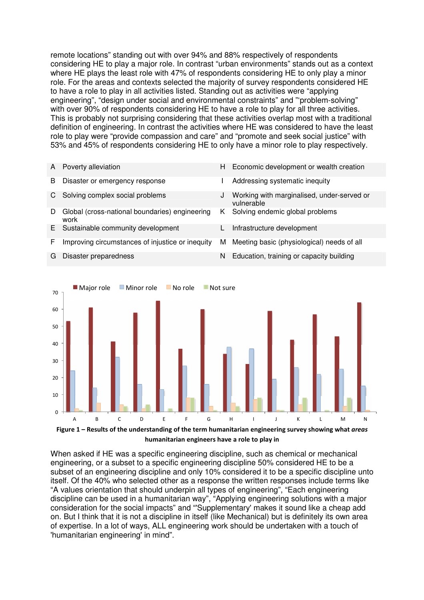remote locations" standing out with over 94% and 88% respectively of respondents considering HE to play a major role. In contrast "urban environments" stands out as a context where HE plays the least role with 47% of respondents considering HE to only play a minor role. For the areas and contexts selected the majority of survey respondents considered HE to have a role to play in all activities listed. Standing out as activities were "applying engineering", "design under social and environmental constraints" and "'problem-solving" with over 90% of respondents considering HE to have a role to play for all three activities. This is probably not surprising considering that these activities overlap most with a traditional definition of engineering. In contrast the activities where HE was considered to have the least role to play were "provide compassion and care" and "promote and seek social justice" with 53% and 45% of respondents considering HE to only have a minor role to play respectively.

A Poverty alleviation **H** Economic development or wealth creation B Disaster or emergency response **I** Addressing systematic inequity C Solving complex social problems J Working with marginalised, under-served or vulnerable D Global (cross-national boundaries) engineering work K Solving endemic global problems E Sustainable community development L Infrastructure development F Improving circumstances of injustice or inequity M Meeting basic (physiological) needs of all G Disaster preparedness N Education, training or capacity building



When asked if HE was a specific engineering discipline, such as chemical or mechanical engineering, or a subset to a specific engineering discipline 50% considered HE to be a subset of an engineering discipline and only 10% considered it to be a specific discipline unto itself. Of the 40% who selected other as a response the written responses include terms like "A values orientation that should underpin all types of engineering", "Each engineering discipline can be used in a humanitarian way", "Applying engineering solutions with a major consideration for the social impacts" and "'Supplementary' makes it sound like a cheap add on. But I think that it is not a discipline in itself (like Mechanical) but is definitely its own area of expertise. In a lot of ways, ALL engineering work should be undertaken with a touch of 'humanitarian engineering' in mind".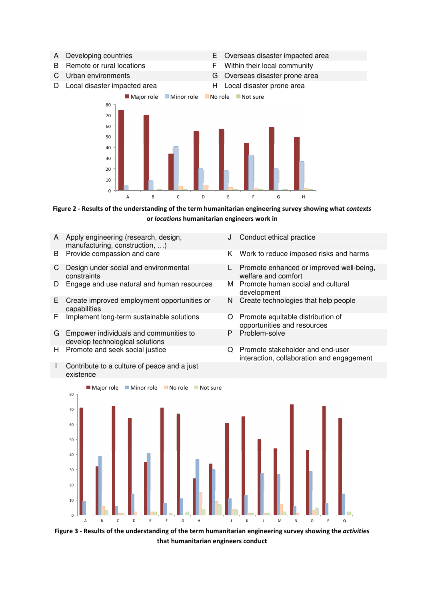- 
- 
- 
- D Local disaster impacted area **H** Local disaster prone area
- A Developing countries E Overseas disaster impacted area
- B Remote or rural locations F Within their local community
- C Urban environments G Overseas disaster prone area
	-





Figure 2 - Results of the understanding of the term humanitarian engineering survey showing what contexts or locations humanitarian engineers work in

- A Apply engineering (research, design, manufacturing, construction, …)
- 
- C Design under social and environmental constraints
- D Engage and use natural and human resources M
- E Create improved employment opportunities or capabilities
- F Implement long-term sustainable solutions O Promote equitable distribution of
- G Empower individuals and communities to develop technological solutions
- 
- I Contribute to a culture of peace and a just existence
- J Conduct ethical practice
- B Provide compassion and care The K Work to reduce imposed risks and harms
	- L Promote enhanced or improved well-being, welfare and comfort<br>Promote human social and cultural
	- development
	- N Create technologies that help people
	- opportunities and resources
	- P Problem-solve
- H Promote and seek social justice Q Promote stakeholder and end-user interaction, collaboration and engagement



Figure 3 - Results of the understanding of the term humanitarian engineering survey showing the activities that humanitarian engineers conduct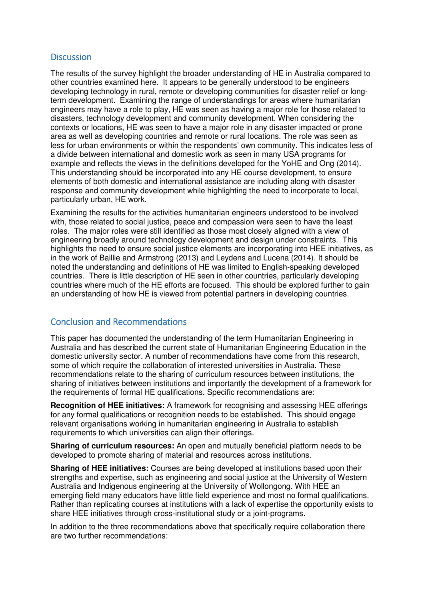### **Discussion**

The results of the survey highlight the broader understanding of HE in Australia compared to other countries examined here. It appears to be generally understood to be engineers developing technology in rural, remote or developing communities for disaster relief or longterm development. Examining the range of understandings for areas where humanitarian engineers may have a role to play, HE was seen as having a major role for those related to disasters, technology development and community development. When considering the contexts or locations, HE was seen to have a major role in any disaster impacted or prone area as well as developing countries and remote or rural locations. The role was seen as less for urban environments or within the respondents' own community. This indicates less of a divide between international and domestic work as seen in many USA programs for example and reflects the views in the definitions developed for the YoHE and Ong (2014). This understanding should be incorporated into any HE course development, to ensure elements of both domestic and international assistance are including along with disaster response and community development while highlighting the need to incorporate to local, particularly urban, HE work.

Examining the results for the activities humanitarian engineers understood to be involved with, those related to social justice, peace and compassion were seen to have the least roles. The major roles were still identified as those most closely aligned with a view of engineering broadly around technology development and design under constraints. This highlights the need to ensure social justice elements are incorporating into HEE initiatives, as in the work of Baillie and Armstrong (2013) and Leydens and Lucena (2014). It should be noted the understanding and definitions of HE was limited to English-speaking developed countries. There is little description of HE seen in other countries, particularly developing countries where much of the HE efforts are focused. This should be explored further to gain an understanding of how HE is viewed from potential partners in developing countries.

## **Conclusion and Recommendations**

This paper has documented the understanding of the term Humanitarian Engineering in Australia and has described the current state of Humanitarian Engineering Education in the domestic university sector. A number of recommendations have come from this research, some of which require the collaboration of interested universities in Australia. These recommendations relate to the sharing of curriculum resources between institutions, the sharing of initiatives between institutions and importantly the development of a framework for the requirements of formal HE qualifications. Specific recommendations are:

**Recognition of HEE initiatives:** A framework for recognising and assessing HEE offerings for any formal qualifications or recognition needs to be established. This should engage relevant organisations working in humanitarian engineering in Australia to establish requirements to which universities can align their offerings.

**Sharing of curriculum resources:** An open and mutually beneficial platform needs to be developed to promote sharing of material and resources across institutions.

**Sharing of HEE initiatives:** Courses are being developed at institutions based upon their strengths and expertise, such as engineering and social justice at the University of Western Australia and Indigenous engineering at the University of Wollongong. With HEE an emerging field many educators have little field experience and most no formal qualifications. Rather than replicating courses at institutions with a lack of expertise the opportunity exists to share HEE initiatives through cross-institutional study or a joint-programs.

In addition to the three recommendations above that specifically require collaboration there are two further recommendations: